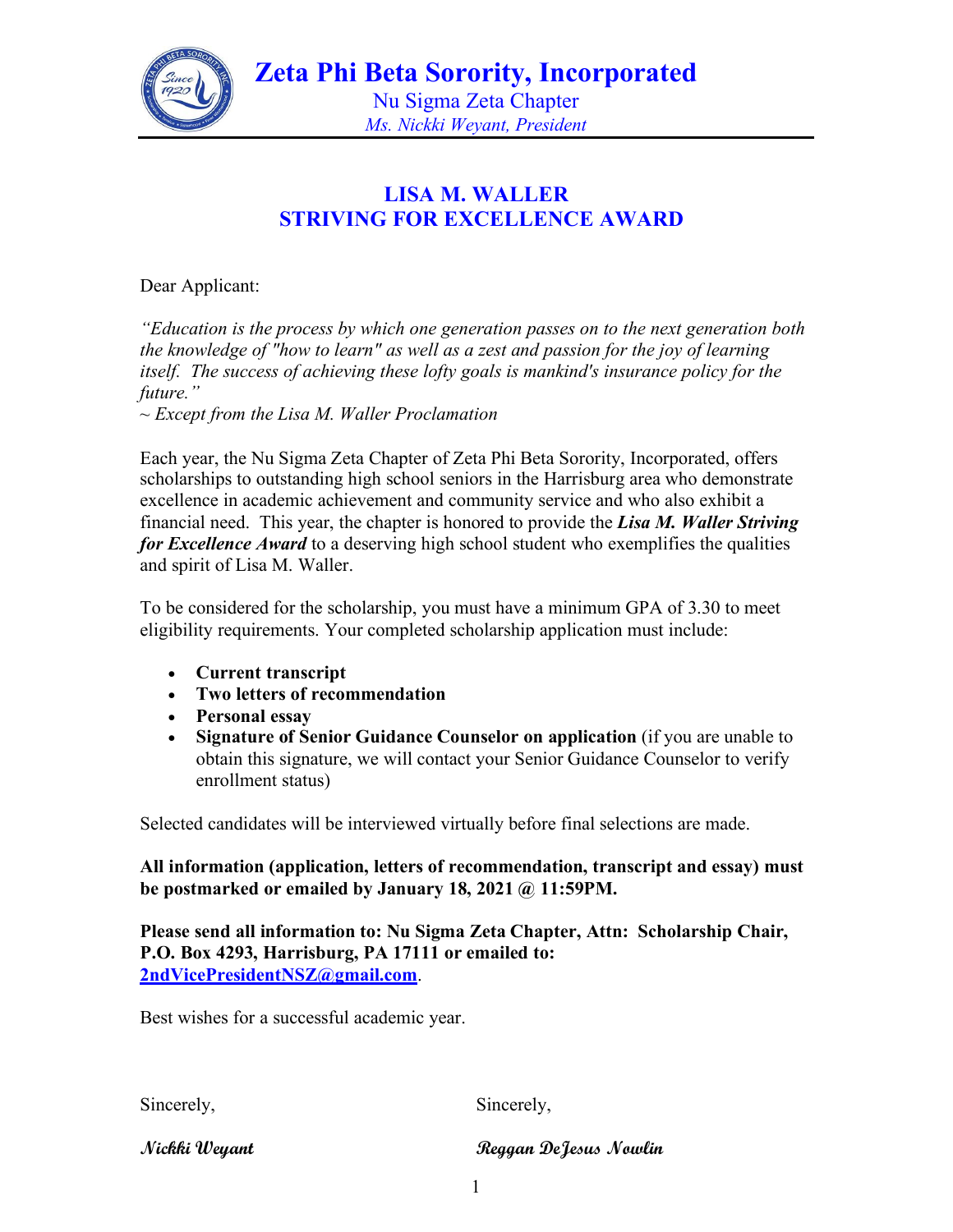

*Ms. Nickki Weyant, President*

### **LISA M. WALLER STRIVING FOR EXCELLENCE AWARD**

Dear Applicant:

*"Education is the process by which one generation passes on to the next generation both the knowledge of "how to learn" as well as a zest and passion for the joy of learning itself. The success of achieving these lofty goals is mankind's insurance policy for the future."* 

*~ Except from the Lisa M. Waller Proclamation* 

Each year, the Nu Sigma Zeta Chapter of Zeta Phi Beta Sorority, Incorporated, offers scholarships to outstanding high school seniors in the Harrisburg area who demonstrate excellence in academic achievement and community service and who also exhibit a financial need. This year, the chapter is honored to provide the *Lisa M. Waller Striving for Excellence Award* to a deserving high school student who exemplifies the qualities and spirit of Lisa M. Waller.

To be considered for the scholarship, you must have a minimum GPA of 3.30 to meet eligibility requirements. Your completed scholarship application must include:

- **Current transcript**
- **Two letters of recommendation**
- **Personal essay**
- **Signature of Senior Guidance Counselor on application** (if you are unable to obtain this signature, we will contact your Senior Guidance Counselor to verify enrollment status)

Selected candidates will be interviewed virtually before final selections are made.

**All information (application, letters of recommendation, transcript and essay) must be postmarked or emailed by January 18, 2021 @ 11:59PM.** 

**Please send all information to: Nu Sigma Zeta Chapter, Attn: Scholarship Chair, P.O. Box 4293, Harrisburg, PA 17111 or emailed to: [2ndVicePresidentNSZ@gmail.com](mailto:2ndVicePresidentNSZ@gmail.com)**.

Best wishes for a successful academic year.

Sincerely, Sincerely,

**Nickki Weyant Reggan DeJesus Nowlin**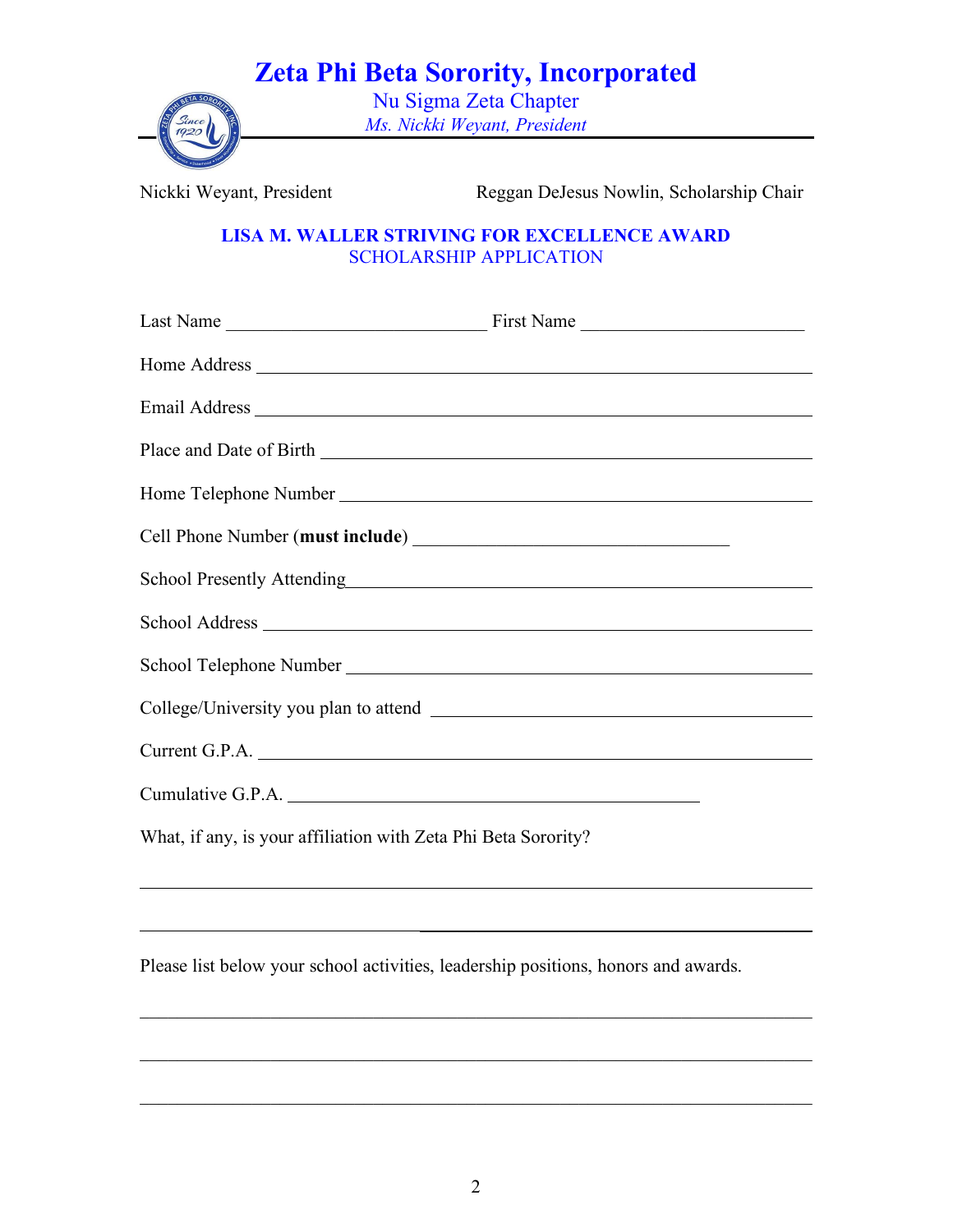## **Zeta Phi Beta Sorority, Incorporated**



Nu Sigma Zeta Chapter *Ms. Nickki Weyant, President*

Nickki Weyant, President Reggan DeJesus Nowlin, Scholarship Chair

 $\frac{1}{2}$  ,  $\frac{1}{2}$  ,  $\frac{1}{2}$  ,  $\frac{1}{2}$  ,  $\frac{1}{2}$  ,  $\frac{1}{2}$  ,  $\frac{1}{2}$  ,  $\frac{1}{2}$  ,  $\frac{1}{2}$  ,  $\frac{1}{2}$  ,  $\frac{1}{2}$  ,  $\frac{1}{2}$  ,  $\frac{1}{2}$  ,  $\frac{1}{2}$  ,  $\frac{1}{2}$  ,  $\frac{1}{2}$  ,  $\frac{1}{2}$  ,  $\frac{1}{2}$  ,  $\frac{1$ 

#### **LISA M. WALLER STRIVING FOR EXCELLENCE AWARD** SCHOLARSHIP APPLICATION

| School Presently Attending<br>School Presently Attending       |  |
|----------------------------------------------------------------|--|
|                                                                |  |
|                                                                |  |
|                                                                |  |
|                                                                |  |
|                                                                |  |
| What, if any, is your affiliation with Zeta Phi Beta Sorority? |  |

Please list below your school activities, leadership positions, honors and awards.

 $\mathcal{L}_\text{G}$  , and the contribution of the contribution of the contribution of the contribution of the contribution of the contribution of the contribution of the contribution of the contribution of the contribution of t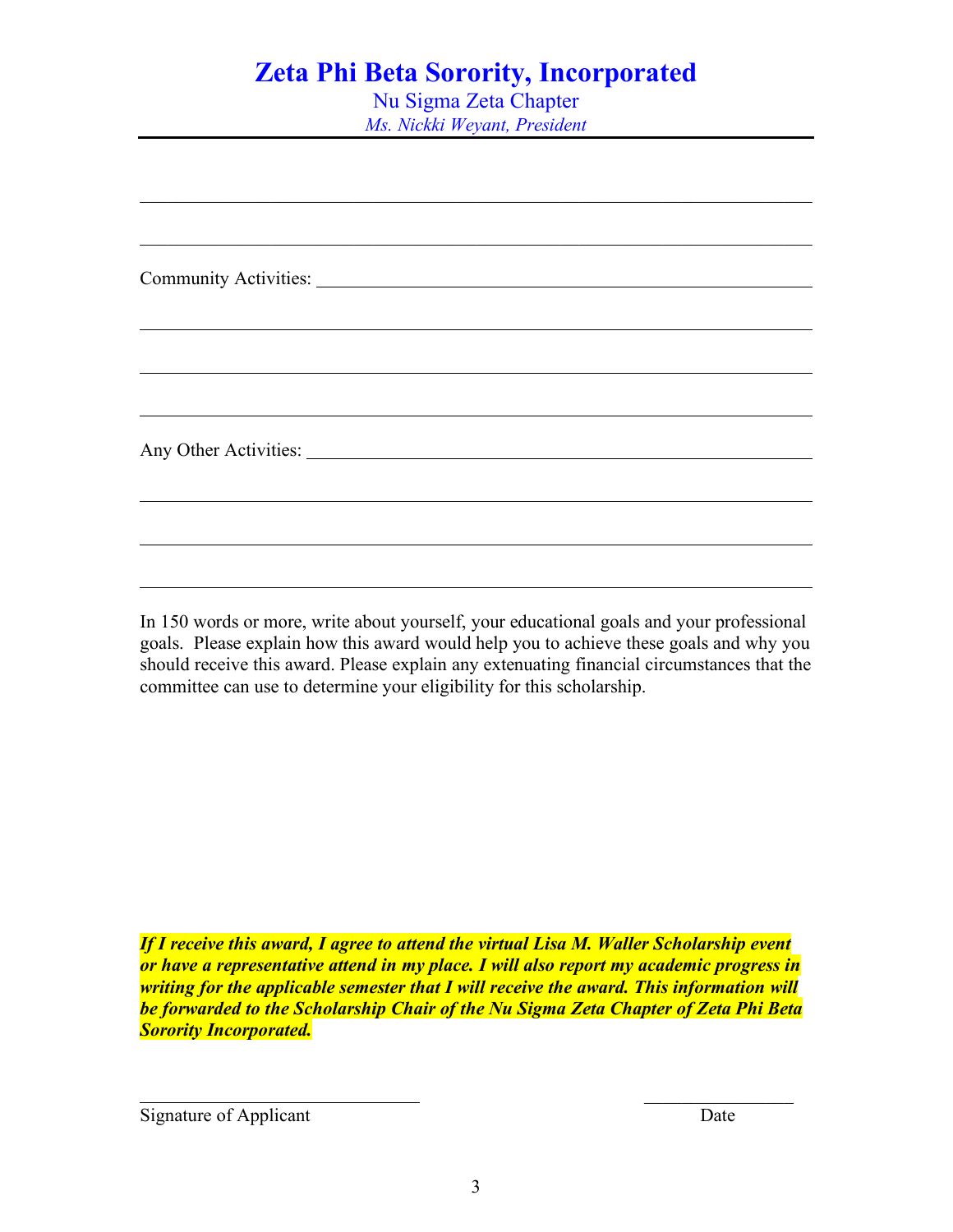## **Zeta Phi Beta Sorority, Incorporated**

Nu Sigma Zeta Chapter *Ms. Nickki Weyant, President*

| ,我们也不会有什么。""我们的人,我们也不会有什么?""我们的人,我们也不会有什么?""我们的人,我们也不会有什么?""我们的人,我们也不会有什么?""我们的人 |  |  |
|----------------------------------------------------------------------------------|--|--|
|                                                                                  |  |  |
|                                                                                  |  |  |
|                                                                                  |  |  |
|                                                                                  |  |  |
|                                                                                  |  |  |
|                                                                                  |  |  |
|                                                                                  |  |  |
|                                                                                  |  |  |

In 150 words or more, write about yourself, your educational goals and your professional goals. Please explain how this award would help you to achieve these goals and why you should receive this award. Please explain any extenuating financial circumstances that the committee can use to determine your eligibility for this scholarship.

*If I receive this award, I agree to attend the virtual Lisa M. Waller Scholarship event or have a representative attend in my place. I will also report my academic progress in writing for the applicable semester that I will receive the award. This information will be forwarded to the Scholarship Chair of the Nu Sigma Zeta Chapter of Zeta Phi Beta Sorority Incorporated.*

Signature of Applicant Date

 $\mathcal{L}_\text{max}$  . The set of the set of the set of the set of the set of the set of the set of the set of the set of the set of the set of the set of the set of the set of the set of the set of the set of the set of the set